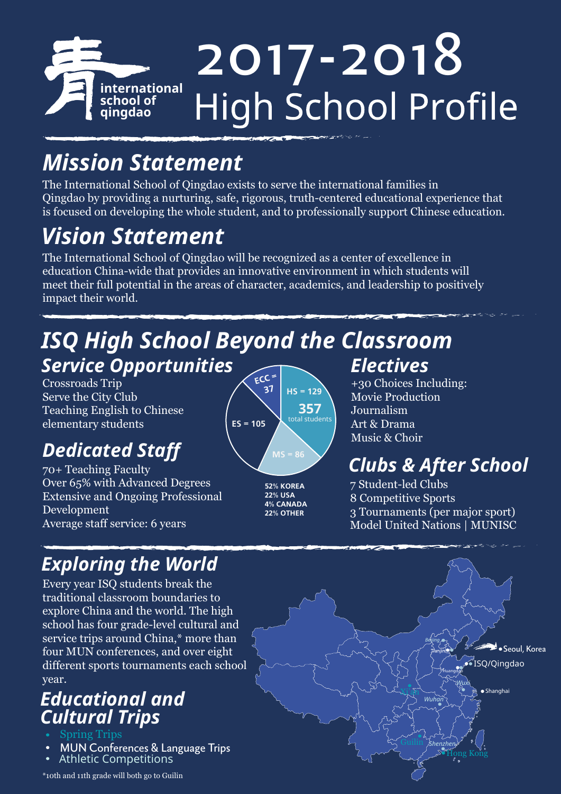

# *Mission Statement*

The International School of Qingdao exists to serve the international families in Qingdao by providing a nurturing, safe, rigorous, truth-centered educational experience that is focused on developing the whole student, and to professionally support Chinese education.

# *Vision Statement*

The International School of Qingdao will be recognized as a center of excellence in education China-wide that provides an innovative environment in which students will meet their full potential in the areas of character, academics, and leadership to positively impact their world.

### *ISQ High School Beyond the Classroom Service Opportunities*

Crossroads Trip Serve the City Club Teaching English to Chinese elementary students

# *Dedicated Staff*

70+ Teaching Faculty Over 65% with Advanced Degrees Extensive and Ongoing Professional Development Average staff service: 6 years



**52% KOREA 22% USA 4% CANADA 22% OTHER**

### *Electives*

+30 Choices Including: Movie Production Journalism Art & Drama Music & Choir

## *Clubs & After School*

7 Student-led Clubs 8 Competitive Sports 3 Tournaments (per major sport) Model United Nations | MUNISC

### *Exploring the World*

Every year ISQ students break the traditional classroom boundaries to explore China and the world. The high school has four grade-level cultural and service trips around China,\* more than four MUN conferences, and over eight different sports tournaments each school year.

#### *Educational and Cultural Trips*

- Spring Trips
- MUN Conferences & Language Trips
- Athletic Competitions

\*10th and 11th grade will both go to Guilin

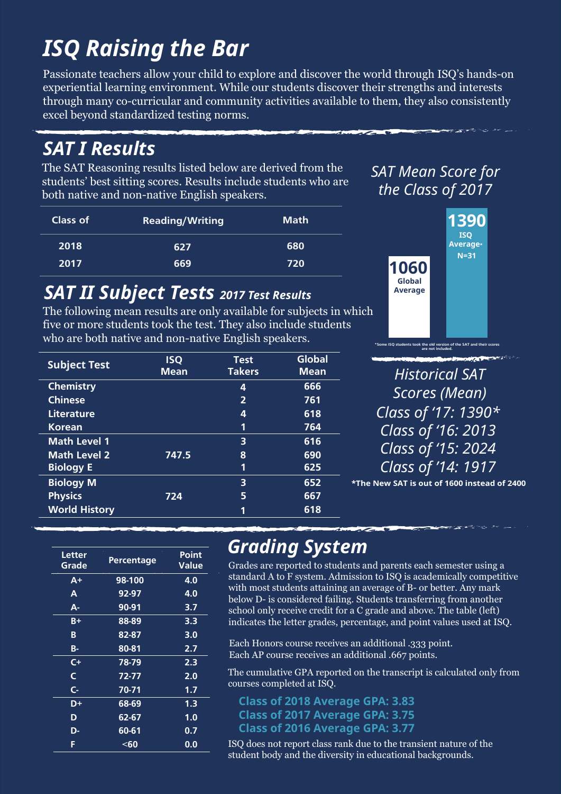# *ISQ Raising the Bar*

Passionate teachers allow your child to explore and discover the world through ISQ's hands-on experiential learning environment. While our students discover their strengths and interests through many co-curricular and community activities available to them, they also consistently excel beyond standardized testing norms.

### *SAT I Results*

The SAT Reasoning results listed below are derived from the students' best sitting scores. Results include students who are both native and non-native English speakers.

| Class of | <b>Reading/Writing</b> | <b>Math</b> |  |
|----------|------------------------|-------------|--|
| 2018     | 627                    | 680         |  |
| 2017     | 669                    | 720         |  |

#### *SAT II Subject Tests 2017 Test Results*

The following mean results are only available for subjects in which five or more students took the test. They also include students who are both native and non-native English speakers.

| <b>Subject Test</b>  | <b>ISQ</b><br><b>Mean</b> | <b>Test</b><br><b>Takers</b> | Global<br><b>Mean</b> |
|----------------------|---------------------------|------------------------------|-----------------------|
| <b>Chemistry</b>     |                           | 4                            | 666                   |
| <b>Chinese</b>       |                           | $\overline{2}$               | 761                   |
| Literature           |                           | 4                            | 618                   |
| <b>Korean</b>        |                           | 1                            | 764                   |
| <b>Math Level 1</b>  |                           | 3                            | 616                   |
| <b>Math Level 2</b>  | 747.5                     | 8                            | 690                   |
| <b>Biology E</b>     |                           | 1                            | 625                   |
| <b>Biology M</b>     |                           | 3                            | 652                   |
| <b>Physics</b>       | 724                       | 5                            | 667                   |
| <b>World History</b> |                           | 1                            | 618                   |

*SAT Mean Score for the Class of 2017*



**are not included.**

*Historical SAT Scores (Mean) Class of '17: 1390\* Class of '16: 2013 Class of '15: 2024 Class of '14: 1917*

**\*The New SAT is out of 1600 instead of 2400** 

| Letter<br>Grade | Percentage | Point<br>Value |
|-----------------|------------|----------------|
| $A+$            | 98-100     | 4.0            |
| A               | 92-97      | 4.0            |
| А-              | 90-91      | 3.7            |
| $B+$            | 88-89      | 3.3            |
| B               | 82-87      | 3.0            |
| <b>B-</b>       | 80-81      | 2.7            |
| C+              | 78-79      | 2.3            |
| Ć               | 72-77      | 2.0            |
| $\mathsf{C}$    | 70-71      | 1.7            |
| D+              | 68-69      | 1.3            |
| D               | 62-67      | 1.0            |
| D-              | $60 - 61$  | 0.7            |
| F               | $60$       | 0.0            |

### *Grading System*

Grades are reported to students and parents each semester using a standard A to F system. Admission to ISQ is academically competitive with most students attaining an average of B- or better. Any mark below D- is considered failing. Students transferring from another school only receive credit for a C grade and above. The table (left) indicates the letter grades, percentage, and point values used at ISQ.

Each Honors course receives an additional .333 point. Each AP course receives an additional .667 points.

The cumulative GPA reported on the transcript is calculated only from courses completed at ISQ.

**Class of 2018 Average GPA: 3.83 Class of 2017 Average GPA: 3.75 Class of 2016 Average GPA: 3.77**

ISQ does not report class rank due to the transient nature of the student body and the diversity in educational backgrounds.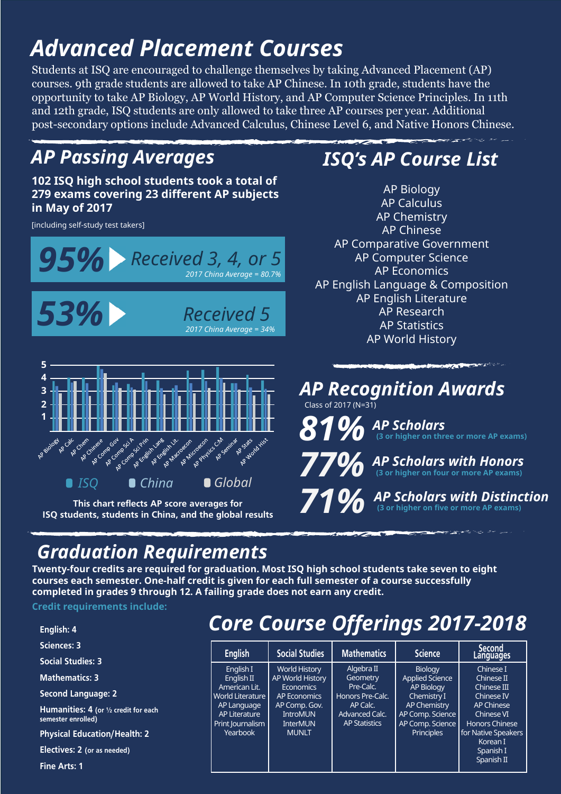# *Advanced Placement Courses*

Students at ISQ are encouraged to challenge themselves by taking Advanced Placement (AP) courses. 9th grade students are allowed to take AP Chinese. In 10th grade, students have the opportunity to take AP Biology, AP World History, and AP Computer Science Principles. In 11th and 12th grade, ISQ students are only allowed to take three AP courses per year. Additional post-secondary options include Advanced Calculus, Chinese Level 6, and Native Honors Chinese.

#### *AP Passing Averages*

**102 ISQ high school students took a total of 279 exams covering 23 different AP subjects in May of 2017**

[including self-study test takers]



**This chart reflects AP score averages for ISQ students, students in China, and the global results**

### *ISQ's AP Course List*

AP Biology AP Calculus AP Chemistry AP Chinese AP Comparative Government AP Computer Science AP Economics AP English Language & Composition AP English Literature AP Research AP Statistics AP World History

*AP Recognition Awards* Class of 2017 (N=31) *77% AP Scholars with Honors* **(3 or higher on four or more AP exams)** *81% AP Scholars* **(3 or higher on three or more AP exams)**

*71%* **(3 or higher on five or more AP exams)** *AP Scholars with Distinction*

### *Graduation Requirements*

**Twenty-four credits are required for graduation. Most ISQ high school students take seven to eight courses each semester. One-half credit is given for each full semester of a course successfully completed in grades 9 through 12. A failing grade does not earn any credit.**

**Credit requirements include:**

| English: 4                                                                   |
|------------------------------------------------------------------------------|
| <b>Sciences: 3</b>                                                           |
| <b>Social Studies: 3</b>                                                     |
| <b>Mathematics: 3</b>                                                        |
| <b>Second Language: 2</b>                                                    |
| <b>Humanities: 4</b> (or $\frac{1}{2}$ credit for each<br>semester enrolled) |
| <b>Physical Education/Health: 2</b>                                          |
| Electives: 2 (or as needed)                                                  |

**Fine Arts: 1**

### *Core Course Offerings 2017-2018*

| <b>English</b>                                                                                                                      | <b>Social Studies</b>                                                                                                                                      | <b>Mathematics</b>                                                                                            | <b>Science</b>                                                                                                                                            | <b>Second</b><br>Languages                                                                                                                                                     |
|-------------------------------------------------------------------------------------------------------------------------------------|------------------------------------------------------------------------------------------------------------------------------------------------------------|---------------------------------------------------------------------------------------------------------------|-----------------------------------------------------------------------------------------------------------------------------------------------------------|--------------------------------------------------------------------------------------------------------------------------------------------------------------------------------|
| English I<br>English II<br>American Lit.<br><b>World Literature</b><br>AP Language<br>AP Literature<br>Print Journalism<br>Yearbook | <b>World History</b><br>AP World History<br><b>Economics</b><br><b>AP Economics</b><br>AP Comp. Gov.<br><b>IntroMUN</b><br><b>InterMUN</b><br><b>MUNLT</b> | Algebra II<br>Geometry<br>Pre-Calc.<br>Honors Pre-Calc.<br>AP Calc.<br>Advanced Calc.<br><b>AP Statistics</b> | <b>Biology</b><br><b>Applied Science</b><br><b>AP Biology</b><br>Chemistry I<br>AP Chemistry<br>AP Comp. Science<br>AP Comp. Science<br><b>Principles</b> | Chinese I<br>Chinese II<br>Chinese III<br>Chinese IV<br><b>AP Chinese</b><br>Chinese VI<br><b>Honors Chinese</b><br>for Native Speakers<br>Korean I<br>Spanish I<br>Spanish II |